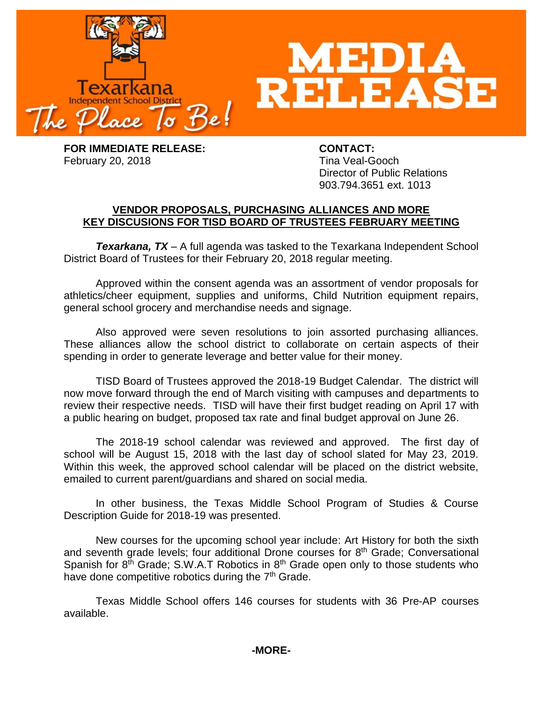

**FOR IMMEDIATE RELEASE: CONTACT:** February 20, 2018 **Time Veal-Gooch** 

Director of Public Relations 903.794.3651 ext. 1013

## **VENDOR PROPOSALS, PURCHASING ALLIANCES AND MORE KEY DISCUSIONS FOR TISD BOARD OF TRUSTEES FEBRUARY MEETING**

*Texarkana, TX* – A full agenda was tasked to the Texarkana Independent School District Board of Trustees for their February 20, 2018 regular meeting.

Approved within the consent agenda was an assortment of vendor proposals for athletics/cheer equipment, supplies and uniforms, Child Nutrition equipment repairs, general school grocery and merchandise needs and signage.

Also approved were seven resolutions to join assorted purchasing alliances. These alliances allow the school district to collaborate on certain aspects of their spending in order to generate leverage and better value for their money.

TISD Board of Trustees approved the 2018-19 Budget Calendar. The district will now move forward through the end of March visiting with campuses and departments to review their respective needs. TISD will have their first budget reading on April 17 with a public hearing on budget, proposed tax rate and final budget approval on June 26.

The 2018-19 school calendar was reviewed and approved. The first day of school will be August 15, 2018 with the last day of school slated for May 23, 2019. Within this week, the approved school calendar will be placed on the district website, emailed to current parent/guardians and shared on social media.

In other business, the Texas Middle School Program of Studies & Course Description Guide for 2018-19 was presented.

New courses for the upcoming school year include: Art History for both the sixth and seventh grade levels; four additional Drone courses for 8<sup>th</sup> Grade; Conversational Spanish for  $8<sup>th</sup>$  Grade; S.W.A.T Robotics in  $8<sup>th</sup>$  Grade open only to those students who have done competitive robotics during the  $7<sup>th</sup>$  Grade.

Texas Middle School offers 146 courses for students with 36 Pre-AP courses available.